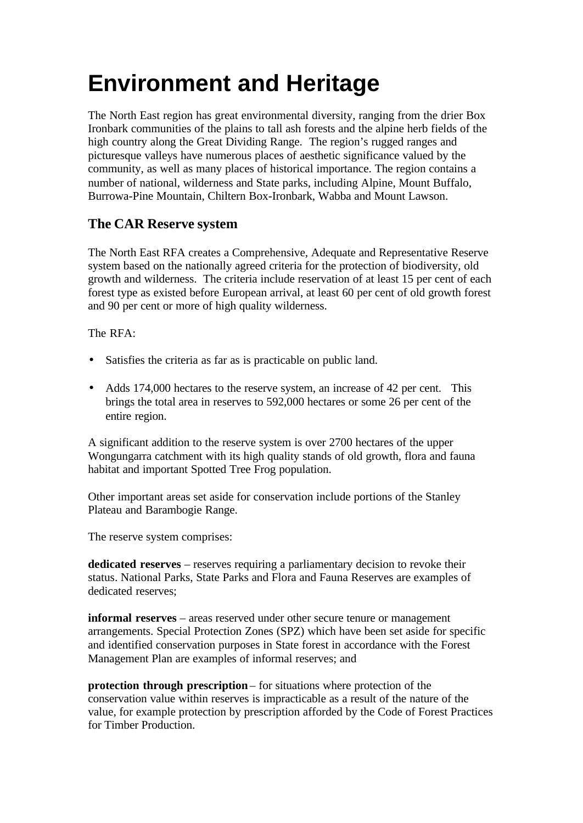# **Environment and Heritage**

The North East region has great environmental diversity, ranging from the drier Box Ironbark communities of the plains to tall ash forests and the alpine herb fields of the high country along the Great Dividing Range. The region's rugged ranges and picturesque valleys have numerous places of aesthetic significance valued by the community, as well as many places of historical importance. The region contains a number of national, wilderness and State parks, including Alpine, Mount Buffalo, Burrowa-Pine Mountain, Chiltern Box-Ironbark, Wabba and Mount Lawson.

## **The CAR Reserve system**

The North East RFA creates a Comprehensive, Adequate and Representative Reserve system based on the nationally agreed criteria for the protection of biodiversity, old growth and wilderness. The criteria include reservation of at least 15 per cent of each forest type as existed before European arrival, at least 60 per cent of old growth forest and 90 per cent or more of high quality wilderness.

The RFA:

- Satisfies the criteria as far as is practicable on public land.
- Adds 174,000 hectares to the reserve system, an increase of 42 per cent. This brings the total area in reserves to 592,000 hectares or some 26 per cent of the entire region.

A significant addition to the reserve system is over 2700 hectares of the upper Wongungarra catchment with its high quality stands of old growth, flora and fauna habitat and important Spotted Tree Frog population.

Other important areas set aside for conservation include portions of the Stanley Plateau and Barambogie Range.

The reserve system comprises:

**dedicated reserves** – reserves requiring a parliamentary decision to revoke their status. National Parks, State Parks and Flora and Fauna Reserves are examples of dedicated reserves;

**informal reserves** – areas reserved under other secure tenure or management arrangements. Special Protection Zones (SPZ) which have been set aside for specific and identified conservation purposes in State forest in accordance with the Forest Management Plan are examples of informal reserves; and

**protection through prescription** – for situations where protection of the conservation value within reserves is impracticable as a result of the nature of the value, for example protection by prescription afforded by the Code of Forest Practices for Timber Production.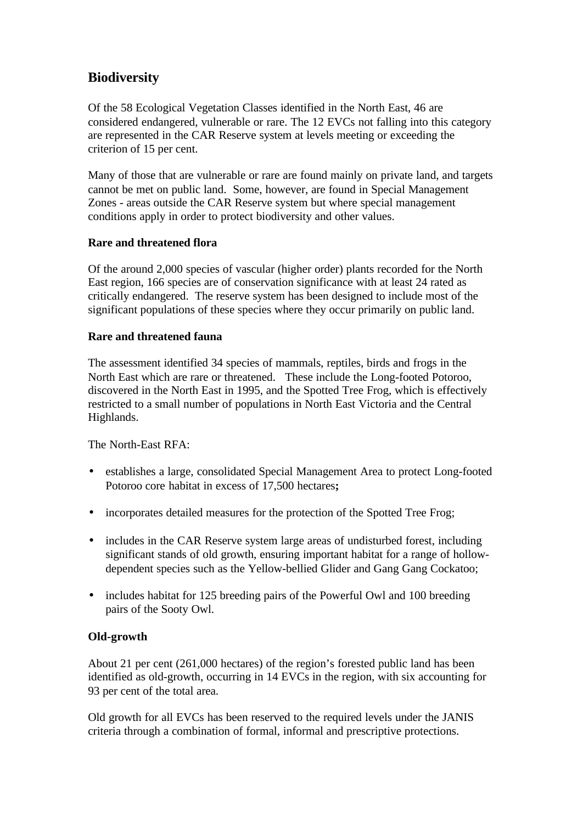## **Biodiversity**

Of the 58 Ecological Vegetation Classes identified in the North East, 46 are considered endangered, vulnerable or rare. The 12 EVCs not falling into this category are represented in the CAR Reserve system at levels meeting or exceeding the criterion of 15 per cent.

Many of those that are vulnerable or rare are found mainly on private land, and targets cannot be met on public land. Some, however, are found in Special Management Zones - areas outside the CAR Reserve system but where special management conditions apply in order to protect biodiversity and other values.

#### **Rare and threatened flora**

Of the around 2,000 species of vascular (higher order) plants recorded for the North East region, 166 species are of conservation significance with at least 24 rated as critically endangered. The reserve system has been designed to include most of the significant populations of these species where they occur primarily on public land.

#### **Rare and threatened fauna**

The assessment identified 34 species of mammals, reptiles, birds and frogs in the North East which are rare or threatened. These include the Long-footed Potoroo, discovered in the North East in 1995, and the Spotted Tree Frog, which is effectively restricted to a small number of populations in North East Victoria and the Central Highlands.

The North-East RFA:

- establishes a large, consolidated Special Management Area to protect Long-footed Potoroo core habitat in excess of 17,500 hectares**;**
- incorporates detailed measures for the protection of the Spotted Tree Frog.
- includes in the CAR Reserve system large areas of undisturbed forest, including significant stands of old growth, ensuring important habitat for a range of hollowdependent species such as the Yellow-bellied Glider and Gang Gang Cockatoo;
- includes habitat for 125 breeding pairs of the Powerful Owl and 100 breeding pairs of the Sooty Owl.

### **Old-growth**

About 21 per cent (261,000 hectares) of the region's forested public land has been identified as old-growth, occurring in 14 EVCs in the region, with six accounting for 93 per cent of the total area.

Old growth for all EVCs has been reserved to the required levels under the JANIS criteria through a combination of formal, informal and prescriptive protections.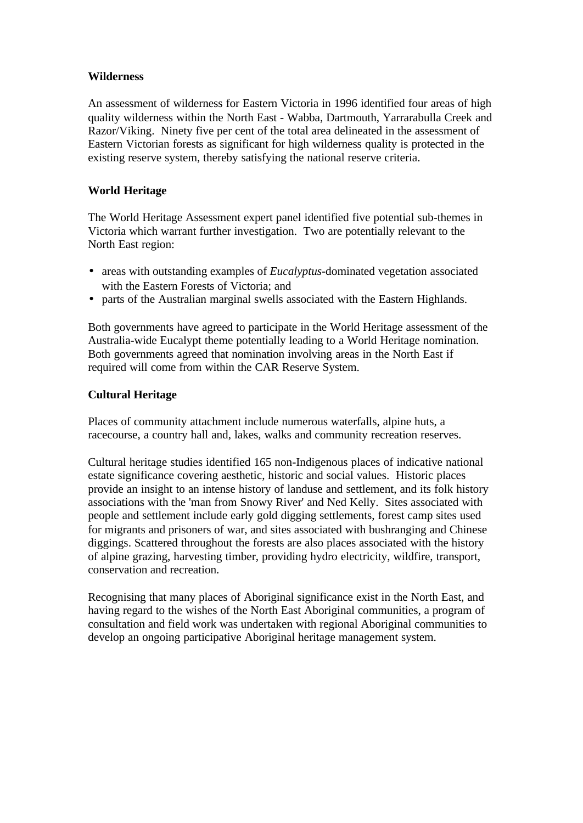#### **Wilderness**

An assessment of wilderness for Eastern Victoria in 1996 identified four areas of high quality wilderness within the North East - Wabba, Dartmouth, Yarrarabulla Creek and Razor/Viking. Ninety five per cent of the total area delineated in the assessment of Eastern Victorian forests as significant for high wilderness quality is protected in the existing reserve system, thereby satisfying the national reserve criteria.

#### **World Heritage**

The World Heritage Assessment expert panel identified five potential sub-themes in Victoria which warrant further investigation. Two are potentially relevant to the North East region:

- areas with outstanding examples of *Eucalyptus-*dominated vegetation associated with the Eastern Forests of Victoria; and
- parts of the Australian marginal swells associated with the Eastern Highlands.

Both governments have agreed to participate in the World Heritage assessment of the Australia-wide Eucalypt theme potentially leading to a World Heritage nomination. Both governments agreed that nomination involving areas in the North East if required will come from within the CAR Reserve System.

#### **Cultural Heritage**

Places of community attachment include numerous waterfalls, alpine huts, a racecourse, a country hall and, lakes, walks and community recreation reserves.

Cultural heritage studies identified 165 non-Indigenous places of indicative national estate significance covering aesthetic, historic and social values. Historic places provide an insight to an intense history of landuse and settlement, and its folk history associations with the 'man from Snowy River' and Ned Kelly. Sites associated with people and settlement include early gold digging settlements, forest camp sites used for migrants and prisoners of war, and sites associated with bushranging and Chinese diggings. Scattered throughout the forests are also places associated with the history of alpine grazing, harvesting timber, providing hydro electricity, wildfire, transport, conservation and recreation.

Recognising that many places of Aboriginal significance exist in the North East, and having regard to the wishes of the North East Aboriginal communities, a program of consultation and field work was undertaken with regional Aboriginal communities to develop an ongoing participative Aboriginal heritage management system.